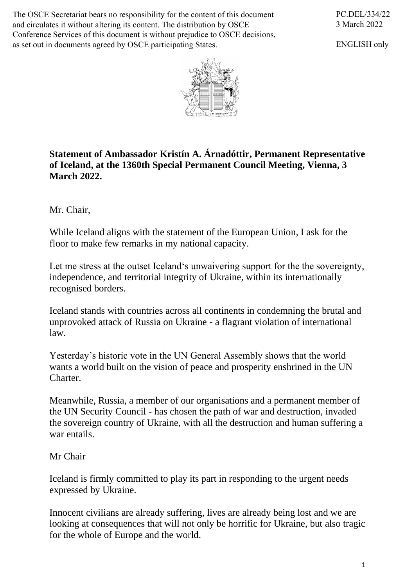The OSCE Secretariat bears no responsibility for the content of this document and circulates it without altering its content. The distribution by OSCE Conference Services of this document is without prejudice to OSCE decisions, as set out in documents agreed by OSCE participating States.

PC.DEL/334/22 3 March 2022

ENGLISH only



## **Statement of Ambassador Kristín A. Árnadóttir, Permanent Representative of Iceland, at the 1360th Special Permanent Council Meeting, Vienna, 3 March 2022.**

Mr. Chair,

While Iceland aligns with the statement of the European Union, I ask for the floor to make few remarks in my national capacity.

Let me stress at the outset Iceland's unwaivering support for the the sovereignty, independence, and territorial integrity of Ukraine, within its internationally recognised borders.

Iceland stands with countries across all continents in condemning the brutal and unprovoked attack of Russia on Ukraine - a flagrant violation of international law.

Yesterday's historic vote in the UN General Assembly shows that the world wants a world built on the vision of peace and prosperity enshrined in the UN Charter.

Meanwhile, Russia, a member of our organisations and a permanent member of the UN Security Council - has chosen the path of war and destruction, invaded the sovereign country of Ukraine, with all the destruction and human suffering a war entails.

Mr Chair

Iceland is firmly committed to play its part in responding to the urgent needs expressed by Ukraine.

Innocent civilians are already suffering, lives are already being lost and we are looking at consequences that will not only be horrific for Ukraine, but also tragic for the whole of Europe and the world.